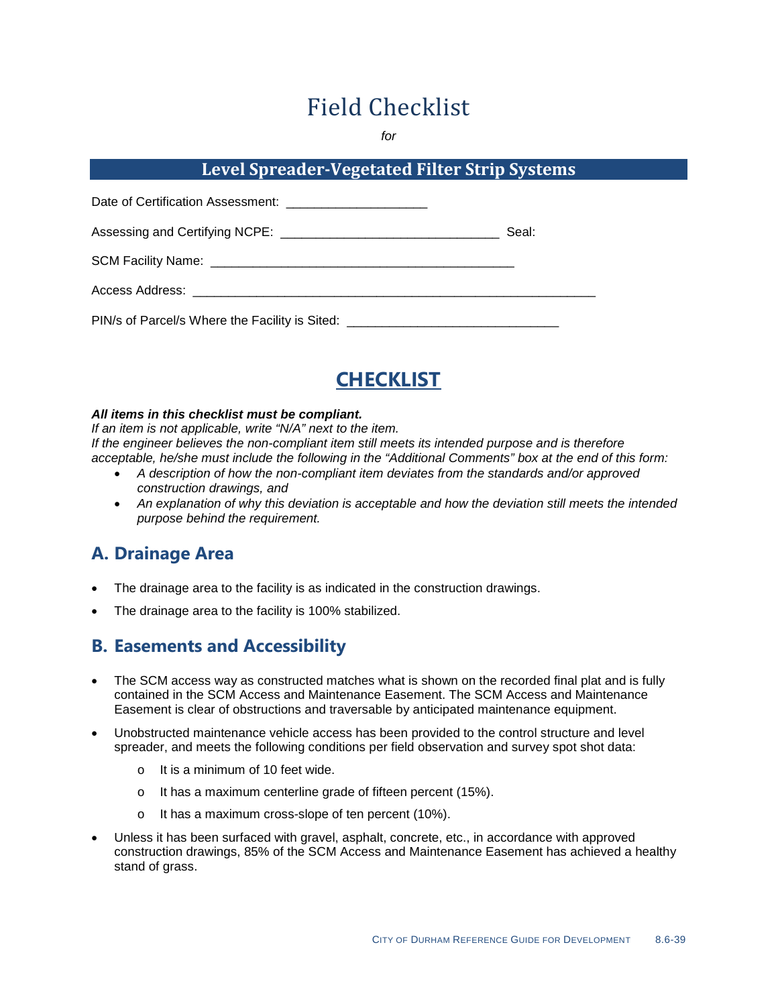# Field Checklist

*for*

#### **Level Spreader-Vegetated Filter Strip Systems**

|                                                                                  | Seal: |
|----------------------------------------------------------------------------------|-------|
|                                                                                  |       |
|                                                                                  |       |
| PIN/s of Parcel/s Where the Facility is Sited: _________________________________ |       |



#### *All items in this checklist must be compliant.*

*If an item is not applicable, write "N/A" next to the item. If the engineer believes the non-compliant item still meets its intended purpose and is therefore acceptable, he/she must include the following in the "Additional Comments" box at the end of this form:*

- *A description of how the non-compliant item deviates from the standards and/or approved construction drawings, and*
- *An explanation of why this deviation is acceptable and how the deviation still meets the intended purpose behind the requirement.*

#### **A. Drainage Area**

- The drainage area to the facility is as indicated in the construction drawings.
- The drainage area to the facility is 100% stabilized.

#### **B. Easements and Accessibility**

- The SCM access way as constructed matches what is shown on the recorded final plat and is fully contained in the SCM Access and Maintenance Easement. The SCM Access and Maintenance Easement is clear of obstructions and traversable by anticipated maintenance equipment.
- Unobstructed maintenance vehicle access has been provided to the control structure and level spreader, and meets the following conditions per field observation and survey spot shot data:
	- o It is a minimum of 10 feet wide.
	- o It has a maximum centerline grade of fifteen percent (15%).
	- o It has a maximum cross-slope of ten percent (10%).
- Unless it has been surfaced with gravel, asphalt, concrete, etc., in accordance with approved construction drawings, 85% of the SCM Access and Maintenance Easement has achieved a healthy stand of grass.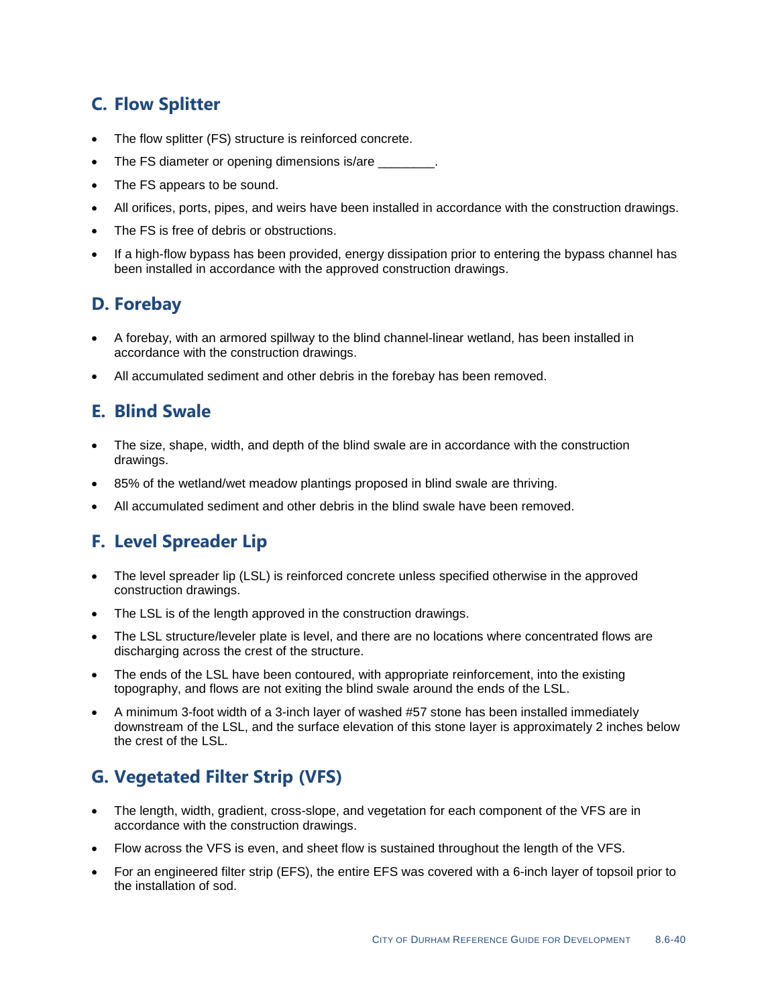# **C. Flow Splitter**

- The flow splitter (FS) structure is reinforced concrete.
- The FS diameter or opening dimensions is/are \_\_\_\_\_\_\_\_\_\_\_\_\_\_\_\_\_\_\_\_\_\_\_\_\_\_\_\_\_\_\_\_\_\_\_
- The FS appears to be sound.
- All orifices, ports, pipes, and weirs have been installed in accordance with the construction drawings.
- The FS is free of debris or obstructions.
- If a high-flow bypass has been provided, energy dissipation prior to entering the bypass channel has been installed in accordance with the approved construction drawings.

#### **D. Forebay**

- A forebay, with an armored spillway to the blind channel-linear wetland, has been installed in accordance with the construction drawings.
- All accumulated sediment and other debris in the forebay has been removed.

#### **E. Blind Swale**

- The size, shape, width, and depth of the blind swale are in accordance with the construction drawings.
- 85% of the wetland/wet meadow plantings proposed in blind swale are thriving.
- All accumulated sediment and other debris in the blind swale have been removed.

#### **F. Level Spreader Lip**

- The level spreader lip (LSL) is reinforced concrete unless specified otherwise in the approved construction drawings.
- The LSL is of the length approved in the construction drawings.
- The LSL structure/leveler plate is level, and there are no locations where concentrated flows are discharging across the crest of the structure.
- The ends of the LSL have been contoured, with appropriate reinforcement, into the existing topography, and flows are not exiting the blind swale around the ends of the LSL.
- A minimum 3-foot width of a 3-inch layer of washed #57 stone has been installed immediately downstream of the LSL, and the surface elevation of this stone layer is approximately 2 inches below the crest of the LSL.

# **G. Vegetated Filter Strip (VFS)**

- The length, width, gradient, cross-slope, and vegetation for each component of the VFS are in accordance with the construction drawings.
- Flow across the VFS is even, and sheet flow is sustained throughout the length of the VFS.
- For an engineered filter strip (EFS), the entire EFS was covered with a 6-inch layer of topsoil prior to the installation of sod.